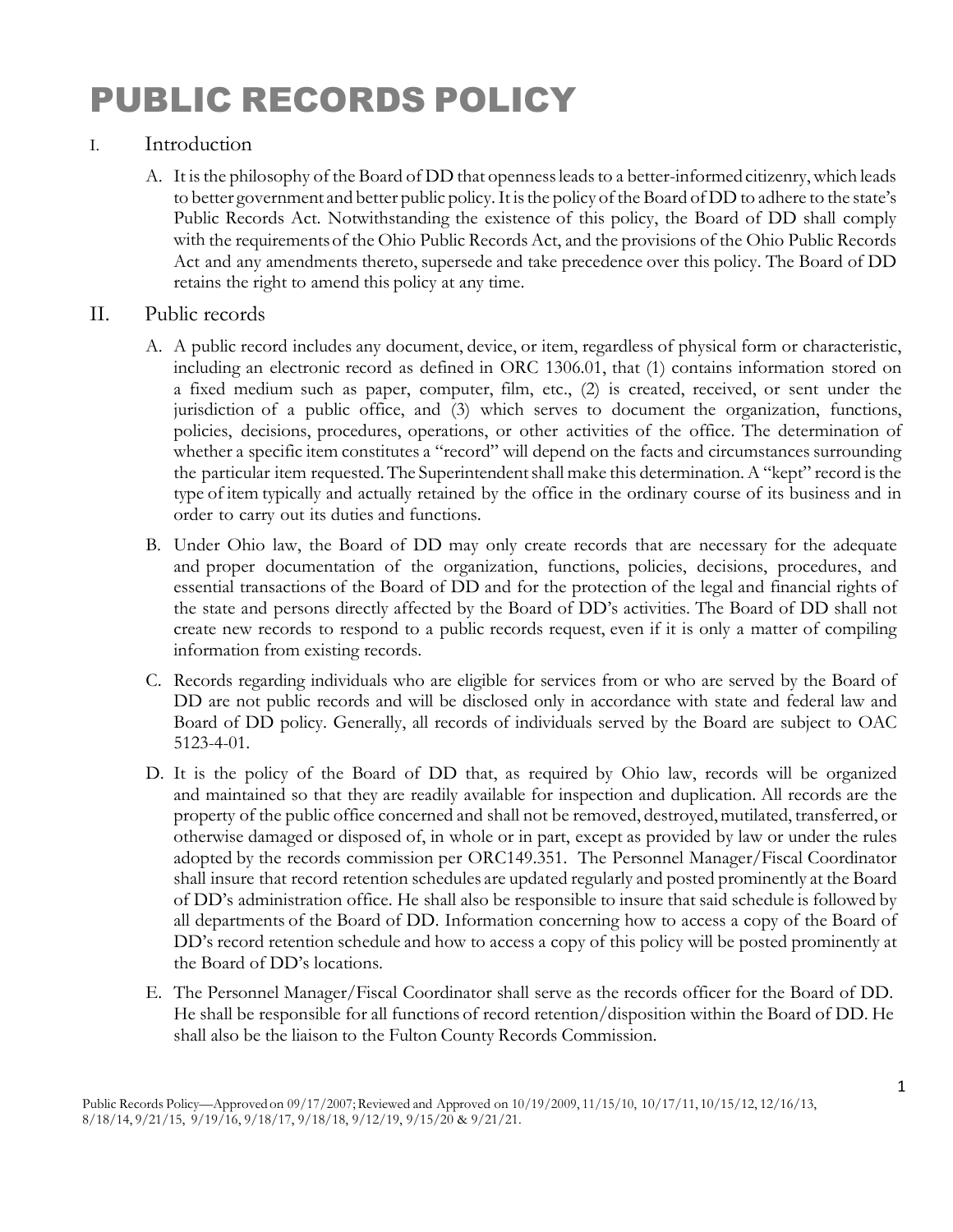## PUBLIC RECORDS POLICY

## I. Introduction

A. It is the philosophy of the Board of DD that openness leads to a better-informed citizenry, which leads to better government and better public policy.It isthe policy of the Board ofDD to adhere to the state's Public Records Act. Notwithstanding the existence of this policy, the Board of DD shall comply with the requirementsof the Ohio Public Records Act, and the provisions of the Ohio Public Records Act and any amendments thereto, supersede and take precedence over this policy. The Board of DD retains the right to amend this policy at any time.

## II. Public records

- A. A public record includes any document, device, or item, regardless of physical form or characteristic, including an electronic record as defined in ORC [1306.01,](http://codes.ohio.gov/orc/1306.01) that (1) contains information stored on a fixed medium such as paper, computer, film, etc., (2) is created, received, or sent under the jurisdiction of a public office, and (3) which serves to document the organization, functions, policies, decisions, procedures, operations, or other activities of the office. The determination of whether a specific item constitutes a "record" will depend on the facts and circumstances surrounding the particular item requested. The Superintendent shall make this determination. A "kept" record is the type of item typically and actually retained by the office in the ordinary course of its business and in order to carry out its duties and functions.
- B. Under Ohio law, the Board of DD may only create records that are necessary for the adequate and proper documentation of the organization, functions, policies, decisions, procedures, and essential transactions of the Board of DD and for the protection of the legal and financial rights of the state and persons directly affected by the Board of DD's activities. The Board of DD shall not create new records to respond to a public records request, even if it is only a matter of compiling information from existing records.
- C. Records regarding individuals who are eligible for services from or who are served by the Board of DD are not public records and will be disclosed only in accordance with state and federal law and Board of DD policy. Generally, all records of individuals served by the Board are subject to OAC 5123-4-01.
- D. It is the policy of the Board of DD that, as required by Ohio law, records will be organized and maintained so that they are readily available for inspection and duplication. All records are the property of the public office concerned and shall not be removed, destroyed, mutilated, transferred, or otherwise damaged or disposed of, in whole or in part, except as provided by law or under the rules adopted by the records commission per ORC149.351. The Personnel Manager/Fiscal Coordinator shall insure that record retention schedules are updated regularly and posted prominently at the Board of DD's administration office. He shall also be responsible to insure that said schedule is followed by all departments of the Board of DD. Information concerning how to access a copy of the Board of DD's record retention schedule and how to access a copy of this policy will be posted prominently at the Board of DD's locations.
- E. The Personnel Manager/Fiscal Coordinator shall serve as the records officer for the Board of DD. He shall be responsible for all functions of record retention/disposition within the Board of DD. He shall also be the liaison to the Fulton County Records Commission.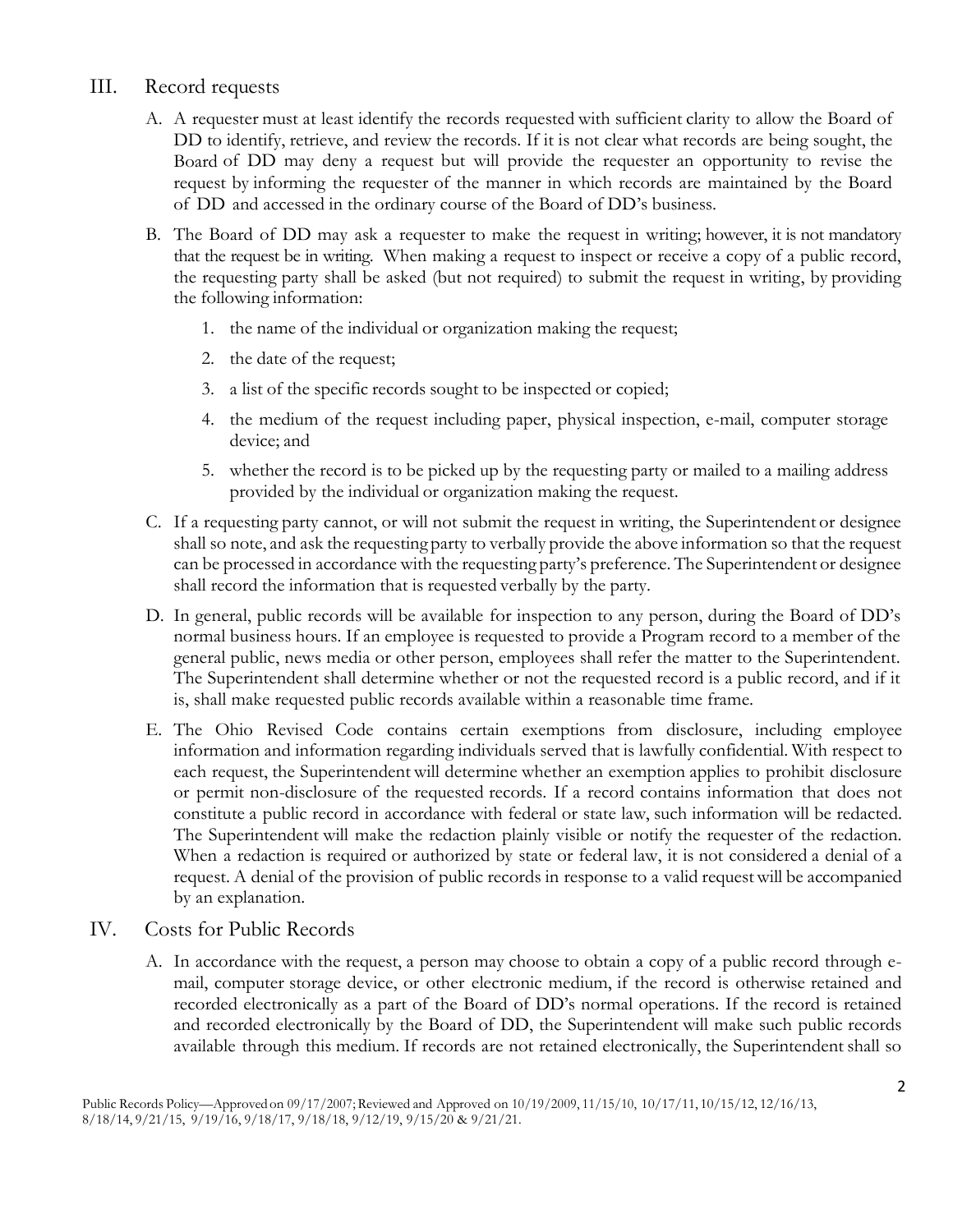## III. Record requests

- A. A requester must at least identify the records requested with sufficient clarity to allow the Board of DD to identify, retrieve, and review the records. If it is not clear what records are being sought, the Board of DD may deny a request but will provide the requester an opportunity to revise the request by informing the requester of the manner in which records are maintained by the Board of DD and accessed in the ordinary course of the Board of DD's business.
- B. The Board of DD may ask a requester to make the request in writing; however, it is not mandatory that the request be in writing. When making a request to inspect or receive a copy of a public record, the requesting party shall be asked (but not required) to submit the request in writing, by providing the following information:
	- 1. the name of the individual or organization making the request;
	- 2. the date of the request;
	- 3. a list of the specific records sought to be inspected or copied;
	- 4. the medium of the request including paper, physical inspection, e-mail, computer storage device; and
	- 5. whether the record is to be picked up by the requesting party or mailed to a mailing address provided by the individual or organization making the request.
- C. If a requesting party cannot, or will not submit the request in writing, the Superintendent or designee shall so note, and ask the requesting party to verbally provide the above information so that the request can be processed in accordance with the requesting party's preference. The Superintendent or designee shall record the information that is requested verbally by the party.
- D. In general, public records will be available for inspection to any person, during the Board of DD's normal business hours. If an employee is requested to provide a Program record to a member of the general public, news media or other person, employees shall refer the matter to the Superintendent. The Superintendent shall determine whether or not the requested record is a public record, and if it is, shall make requested public records available within a reasonable time frame.
- E. The Ohio Revised Code contains certain exemptions from disclosure, including employee information and information regarding individuals served that is lawfully confidential. With respect to each request, the Superintendent will determine whether an exemption applies to prohibit disclosure or permit non-disclosure of the requested records. If a record contains information that does not constitute a public record in accordance with federal or state law, such information will be redacted. The Superintendent will make the redaction plainly visible or notify the requester of the redaction. When a redaction is required or authorized by state or federal law, it is not considered a denial of a request. A denial of the provision of public records in response to a valid requestwill be accompanied by an explanation.
- IV. Costs for Public Records
	- A. In accordance with the request, a person may choose to obtain a copy of a public record through email, computer storage device, or other electronic medium, if the record is otherwise retained and recorded electronically as a part of the Board of DD's normal operations. If the record is retained and recorded electronically by the Board of DD, the Superintendent will make such public records available through this medium. If records are not retained electronically, the Superintendent shall so